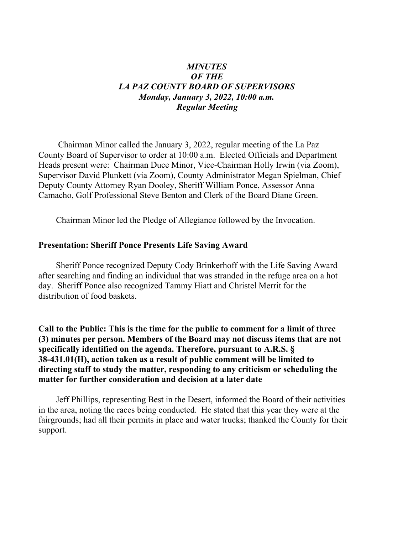### *MINUTES OF THE LA PAZ COUNTY BOARD OF SUPERVISORS Monday, January 3, 2022, 10:00 a.m. Regular Meeting*

 Chairman Minor called the January 3, 2022, regular meeting of the La Paz County Board of Supervisor to order at 10:00 a.m. Elected Officials and Department Heads present were: Chairman Duce Minor, Vice-Chairman Holly Irwin (via Zoom), Supervisor David Plunkett (via Zoom), County Administrator Megan Spielman, Chief Deputy County Attorney Ryan Dooley, Sheriff William Ponce, Assessor Anna Camacho, Golf Professional Steve Benton and Clerk of the Board Diane Green.

Chairman Minor led the Pledge of Allegiance followed by the Invocation.

#### **Presentation: Sheriff Ponce Presents Life Saving Award**

Sheriff Ponce recognized Deputy Cody Brinkerhoff with the Life Saving Award after searching and finding an individual that was stranded in the refuge area on a hot day. Sheriff Ponce also recognized Tammy Hiatt and Christel Merrit for the distribution of food baskets.

**Call to the Public: This is the time for the public to comment for a limit of three (3) minutes per person. Members of the Board may not discuss items that are not specifically identified on the agenda. Therefore, pursuant to A.R.S. § 38-431.01(H), action taken as a result of public comment will be limited to directing staff to study the matter, responding to any criticism or scheduling the matter for further consideration and decision at a later date**

 Jeff Phillips, representing Best in the Desert, informed the Board of their activities in the area, noting the races being conducted. He stated that this year they were at the fairgrounds; had all their permits in place and water trucks; thanked the County for their support.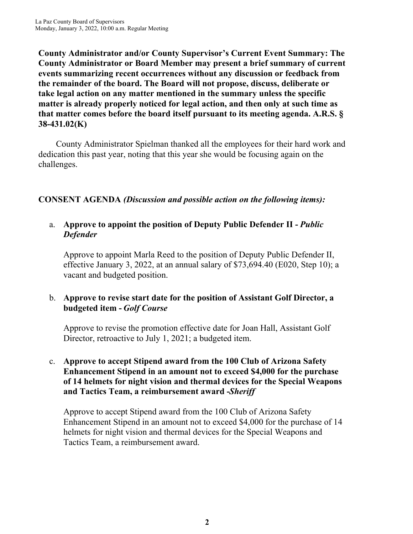**County Administrator and/or County Supervisor's Current Event Summary: The County Administrator or Board Member may present a brief summary of current events summarizing recent occurrences without any discussion or feedback from the remainder of the board. The Board will not propose, discuss, deliberate or take legal action on any matter mentioned in the summary unless the specific matter is already properly noticed for legal action, and then only at such time as that matter comes before the board itself pursuant to its meeting agenda. A.R.S. § 38-431.02(K)**

 County Administrator Spielman thanked all the employees for their hard work and dedication this past year, noting that this year she would be focusing again on the challenges.

# **CONSENT AGENDA** *(Discussion and possible action on the following items):*

### a. **Approve to appoint the position of Deputy Public Defender II -** *Public Defender*

Approve to appoint Marla Reed to the position of Deputy Public Defender II, effective January 3, 2022, at an annual salary of \$73,694.40 (E020, Step 10); a vacant and budgeted position.

# b. **Approve to revise start date for the position of Assistant Golf Director, a budgeted item -** *Golf Course*

Approve to revise the promotion effective date for Joan Hall, Assistant Golf Director, retroactive to July 1, 2021; a budgeted item.

## c. **Approve to accept Stipend award from the 100 Club of Arizona Safety Enhancement Stipend in an amount not to exceed \$4,000 for the purchase of 14 helmets for night vision and thermal devices for the Special Weapons and Tactics Team, a reimbursement award -** *Sheriff*

Approve to accept Stipend award from the 100 Club of Arizona Safety Enhancement Stipend in an amount not to exceed \$4,000 for the purchase of 14 helmets for night vision and thermal devices for the Special Weapons and Tactics Team, a reimbursement award.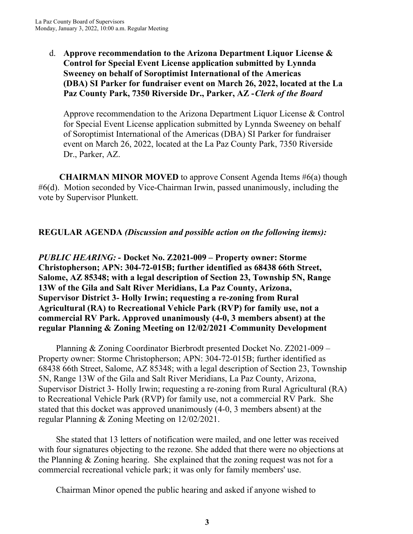d. **Approve recommendation to the Arizona Department Liquor License & Control for Special Event License application submitted by Lynnda Sweeney on behalf of Soroptimist International of the Americas (DBA) SI Parker for fundraiser event on March 26, 2022, located at the La Paz County Park, 7350 Riverside Dr., Parker, AZ -** *Clerk of the Board*

Approve recommendation to the Arizona Department Liquor License & Control for Special Event License application submitted by Lynnda Sweeney on behalf of Soroptimist International of the Americas (DBA) SI Parker for fundraiser event on March 26, 2022, located at the La Paz County Park, 7350 Riverside Dr., Parker, AZ.

 **CHAIRMAN MINOR MOVED** to approve Consent Agenda Items #6(a) though #6(d). Motion seconded by Vice-Chairman Irwin, passed unanimously, including the vote by Supervisor Plunkett.

# **REGULAR AGENDA** *(Discussion and possible action on the following items):*

*PUBLIC HEARING:* **- Docket No. Z2021-009 – Property owner: Storme Christopherson; APN: 304-72-015B; further identified as 68438 66th Street, Salome, AZ 85348; with a legal description of Section 23, Township 5N, Range 13W of the Gila and Salt River Meridians, La Paz County, Arizona, Supervisor District 3- Holly Irwin; requesting a re-zoning from Rural Agricultural (RA) to Recreational Vehicle Park (RVP) for family use, not a commercial RV Park. Approved unanimously (4-0, 3 members absent) at the** regular Planning & Zoning Meeting on 12/02/2021 Community Development

 Planning & Zoning Coordinator Bierbrodt presented Docket No. Z2021-009 – Property owner: Storme Christopherson; APN: 304-72-015B; further identified as 68438 66th Street, Salome, AZ 85348; with a legal description of Section 23, Township 5N, Range 13W of the Gila and Salt River Meridians, La Paz County, Arizona, Supervisor District 3- Holly Irwin; requesting a re-zoning from Rural Agricultural (RA) to Recreational Vehicle Park (RVP) for family use, not a commercial RV Park. She stated that this docket was approved unanimously (4-0, 3 members absent) at the regular Planning & Zoning Meeting on 12/02/2021.

 She stated that 13 letters of notification were mailed, and one letter was received with four signatures objecting to the rezone. She added that there were no objections at the Planning & Zoning hearing. She explained that the zoning request was not for a commercial recreational vehicle park; it was only for family members' use.

Chairman Minor opened the public hearing and asked if anyone wished to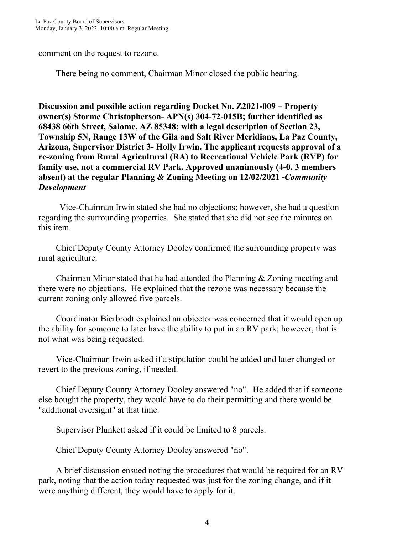comment on the request to rezone.

There being no comment, Chairman Minor closed the public hearing.

**Discussion and possible action regarding Docket No. Z2021-009 – Property owner(s) Storme Christopherson- APN(s) 304-72-015B; further identified as 68438 66th Street, Salome, AZ 85348; with a legal description of Section 23, Township 5N, Range 13W of the Gila and Salt River Meridians, La Paz County, Arizona, Supervisor District 3- Holly Irwin. The applicant requests approval of a re-zoning from Rural Agricultural (RA) to Recreational Vehicle Park (RVP) for family use, not a commercial RV Park. Approved unanimously (4-0, 3 members absent) at the regular Planning & Zoning Meeting on 12/02/2021 -** *Community Development*

 Vice-Chairman Irwin stated she had no objections; however, she had a question regarding the surrounding properties. She stated that she did not see the minutes on this item.

 Chief Deputy County Attorney Dooley confirmed the surrounding property was rural agriculture.

 Chairman Minor stated that he had attended the Planning & Zoning meeting and there were no objections. He explained that the rezone was necessary because the current zoning only allowed five parcels.

 Coordinator Bierbrodt explained an objector was concerned that it would open up the ability for someone to later have the ability to put in an RV park; however, that is not what was being requested.

 Vice-Chairman Irwin asked if a stipulation could be added and later changed or revert to the previous zoning, if needed.

 Chief Deputy County Attorney Dooley answered "no". He added that if someone else bought the property, they would have to do their permitting and there would be "additional oversight" at that time.

Supervisor Plunkett asked if it could be limited to 8 parcels.

Chief Deputy County Attorney Dooley answered "no".

 A brief discussion ensued noting the procedures that would be required for an RV park, noting that the action today requested was just for the zoning change, and if it were anything different, they would have to apply for it.